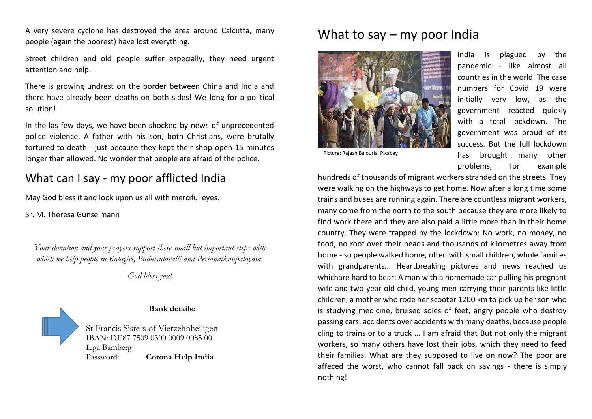A very severe cyclone has destroyed the area around Calcutta, many people (again the poorest) have lost everything.

Street children and old people suffer especially, they need urgent attention and help.

There is growing undrest on the border between China and India and there have already been deaths on both sides! We long for a political solution!

In the las few days, we have been shocked by news of unprecedented police violence. A father with his son, both Christians, were brutally tortured to death - just because they kept their shop open 15 minutes longer than allowed. No wonder that people are afraid of the police.

## What can I say - my poor afflicted India

May God bless it and look upon us all with merciful eyes.

Sr. M. Theresa Gunselmann

*Your donation and your prayers support these small but important steps with which we help people in Kotagiri, Puduvadavalli and Perianaikanpalayam.*

*God bless you!*



## **Bank details:**

St Francis Sisters of Vierzehnheiligen IBAN: DE87 7509 0300 0009 0085 00 Liga Bamberg Password: **Corona Help India**

## What to say – my poor India



Picture: Rajesh Balouria, Pixabay

India is plagued by the pandemic - like almost all countries in the world. The case numbers for Covid 19 were initially very low, as the government reacted quickly with a total lockdown. The government was proud of its success. But the full lockdown has brought many other problems, for example

hundreds of thousands of migrant workers stranded on the streets. They were walking on the highways to get home. Now after a long time some trains and buses are running again. There are countless migrant workers, many come from the north to the south because they are more likely to find work there and they are also paid a little more than in their home country. They were trapped by the lockdown: No work, no money, no food, no roof over their heads and thousands of kilometres away from home - so people walked home, often with small children, whole families with grandparents... Heartbreaking pictures and news reached us whichare hard to bear: A man with a homemade car pulling his pregnant wife and two-year-old child, young men carrying their parents like little children, a mother who rode her scooter 1200 km to pick up her son who is studying medicine, bruised soles of feet, angry people who destroy passing cars, accidents over accidents with many deaths, because people cling to trains or to a truck ... I am afraid that But not only the migrant workers, so many others have lost their jobs, which they need to feed their families. What are they supposed to live on now? The poor are affeced the worst, who cannot fall back on savings - there is simply nothing!